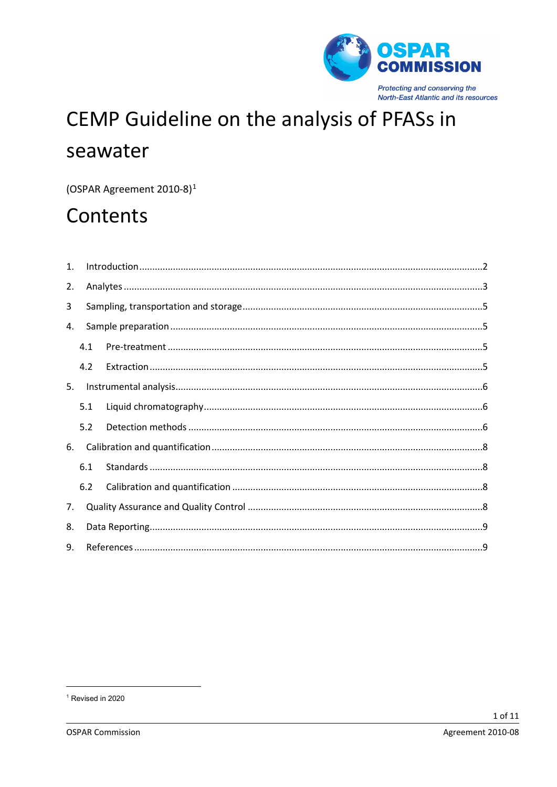

# CEMP Guideline on the analysis of PFASs in seawater

(OSPAR Agreement 2010-8)<sup>1</sup>

## Contents

| 1. |     |  |  |  |  |
|----|-----|--|--|--|--|
| 2. |     |  |  |  |  |
| 3  |     |  |  |  |  |
| 4. |     |  |  |  |  |
|    | 4.1 |  |  |  |  |
|    | 4.2 |  |  |  |  |
| 5. |     |  |  |  |  |
|    | 5.1 |  |  |  |  |
|    | 5.2 |  |  |  |  |
| 6. |     |  |  |  |  |
|    | 6.1 |  |  |  |  |
|    | 6.2 |  |  |  |  |
| 7. |     |  |  |  |  |
| 8. |     |  |  |  |  |
| 9. |     |  |  |  |  |

<span id="page-0-0"></span><sup>&</sup>lt;sup>1</sup> Revised in 2020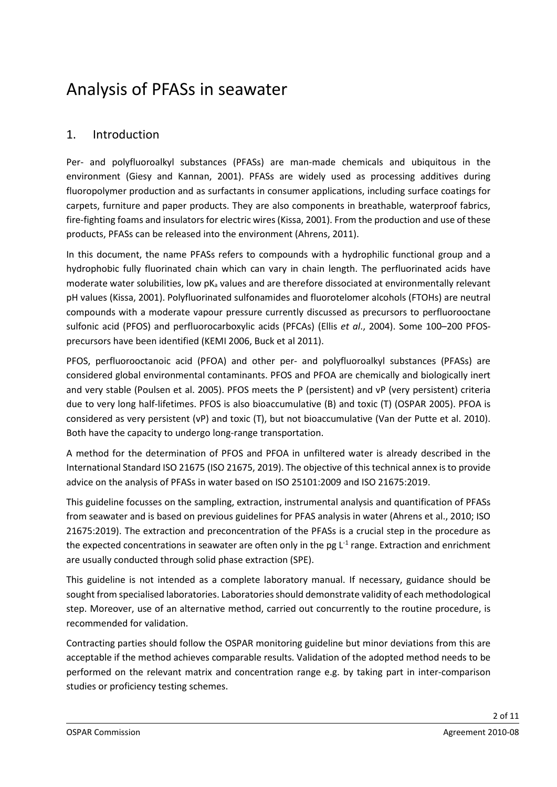## Analysis of PFASs in seawater

## 1. Introduction

Per- and polyfluoroalkyl substances (PFASs) are man-made chemicals and ubiquitous in the environment (Giesy and Kannan, 2001). PFASs are widely used as processing additives during fluoropolymer production and as surfactants in consumer applications, including surface coatings for carpets, furniture and paper products. They are also components in breathable, waterproof fabrics, fire-fighting foams and insulators for electric wires (Kissa, 2001). From the production and use of these products, PFASs can be released into the environment (Ahrens, 2011).

In this document, the name PFASs refers to compounds with a hydrophilic functional group and a hydrophobic fully fluorinated chain which can vary in chain length. The perfluorinated acids have moderate water solubilities, low  $pK<sub>a</sub>$  values and are therefore dissociated at environmentally relevant pH values (Kissa, 2001). Polyfluorinated sulfonamides and fluorotelomer alcohols (FTOHs) are neutral compounds with a moderate vapour pressure currently discussed as precursors to perfluorooctane sulfonic acid (PFOS) and perfluorocarboxylic acids (PFCAs) (Ellis *et al*., 2004). Some 100–200 PFOSprecursors have been identified (KEMI 2006, Buck et al 2011).

PFOS, perfluorooctanoic acid (PFOA) and other per- and polyfluoroalkyl substances (PFASs) are considered global environmental contaminants. PFOS and PFOA are chemically and biologically inert and very stable (Poulsen et al. 2005). PFOS meets the P (persistent) and vP (very persistent) criteria due to very long half-lifetimes. PFOS is also bioaccumulative (B) and toxic (T) (OSPAR 2005). PFOA is considered as very persistent (vP) and toxic (T), but not bioaccumulative (Van der Putte et al. 2010). Both have the capacity to undergo long-range transportation.

A method for the determination of PFOS and PFOA in unfiltered water is already described in the International Standard ISO 21675 (ISO 21675, 2019). The objective of this technical annex is to provide advice on the analysis of PFASs in water based on ISO 25101:2009 and ISO 21675:2019.

This guideline focusses on the sampling, extraction, instrumental analysis and quantification of PFASs from seawater and is based on previous guidelines for PFAS analysis in water (Ahrens et al., 2010; ISO 21675:2019). The extraction and preconcentration of the PFASs is a crucial step in the procedure as the expected concentrations in seawater are often only in the pg  $L<sup>-1</sup>$  range. Extraction and enrichment are usually conducted through solid phase extraction (SPE).

This guideline is not intended as a complete laboratory manual. If necessary, guidance should be sought from specialised laboratories. Laboratories should demonstrate validity of each methodological step. Moreover, use of an alternative method, carried out concurrently to the routine procedure, is recommended for validation.

Contracting parties should follow the OSPAR monitoring guideline but minor deviations from this are acceptable if the method achieves comparable results. Validation of the adopted method needs to be performed on the relevant matrix and concentration range e.g. by taking part in inter-comparison studies or proficiency testing schemes.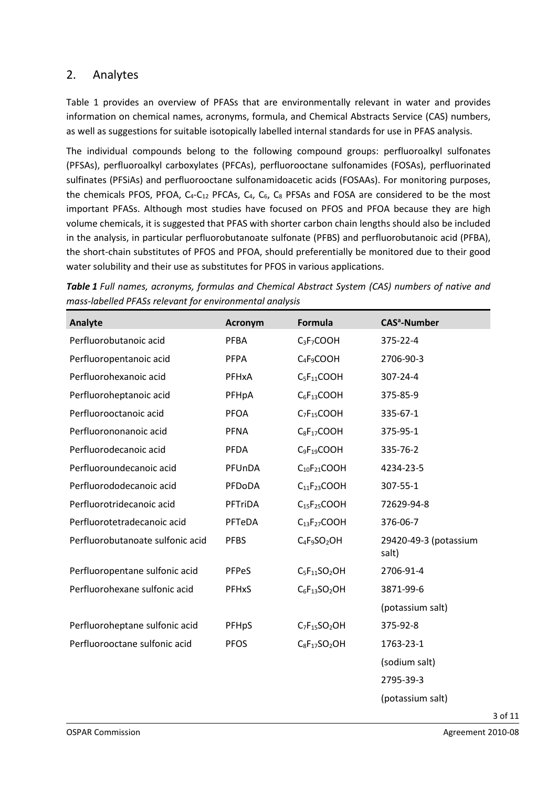### 2. Analytes

Table 1 provides an overview of PFASs that are environmentally relevant in water and provides information on chemical names, acronyms, formula, and Chemical Abstracts Service (CAS) numbers, as well as suggestions for suitable isotopically labelled internal standards for use in PFAS analysis.

The individual compounds belong to the following compound groups: perfluoroalkyl sulfonates (PFSAs), perfluoroalkyl carboxylates (PFCAs), perfluorooctane sulfonamides (FOSAs), perfluorinated sulfinates (PFSiAs) and perfluorooctane sulfonamidoacetic acids (FOSAAs). For monitoring purposes, the chemicals PFOS, PFOA,  $C_4$ - $C_{12}$  PFCAs,  $C_4$ ,  $C_6$ ,  $C_8$  PFSAs and FOSA are considered to be the most important PFASs. Although most studies have focused on PFOS and PFOA because they are high volume chemicals, it is suggested that PFAS with shorter carbon chain lengths should also be included in the analysis, in particular perfluorobutanoate sulfonate (PFBS) and perfluorobutanoic acid (PFBA), the short-chain substitutes of PFOS and PFOA, should preferentially be monitored due to their good water solubility and their use as substitutes for PFOS in various applications.

*Table 1 Full names, acronyms, formulas and Chemical Abstract System (CAS) numbers of native and mass-labelled PFASs relevant for environmental analysis*

| Analyte                          | <b>Acronym</b> | <b>Formula</b>                       | <b>CAS<sup>a</sup>-Number</b>  |
|----------------------------------|----------------|--------------------------------------|--------------------------------|
| Perfluorobutanoic acid           | <b>PFBA</b>    | $C_3F_7COOH$                         | 375-22-4                       |
| Perfluoropentanoic acid          | <b>PFPA</b>    | $C_4F_9COOH$                         | 2706-90-3                      |
| Perfluorohexanoic acid           | <b>PFHxA</b>   | $C_5F_{11}COOH$                      | 307-24-4                       |
| Perfluoroheptanoic acid          | PFHpA          | $C_6F_{13}COOH$                      | 375-85-9                       |
| Perfluorooctanoic acid           | <b>PFOA</b>    | $C_7F_{15}COOH$                      | 335-67-1                       |
| Perfluorononanoic acid           | <b>PFNA</b>    | $C_8F_{17}COOH$                      | 375-95-1                       |
| Perfluorodecanoic acid           | <b>PFDA</b>    | $C_9F_{19}COOH$                      | 335-76-2                       |
| Perfluoroundecanoic acid         | PFUnDA         | $C_{10}F_{21}COOH$                   | 4234-23-5                      |
| Perfluorododecanoic acid         | PFDoDA         | C <sub>11</sub> F <sub>23</sub> COOH | 307-55-1                       |
| Perfluorotridecanoic acid        | <b>PFTriDA</b> | $C_{15}F_{25}COOH$                   | 72629-94-8                     |
| Perfluorotetradecanoic acid      | PFTeDA         | C <sub>13</sub> F <sub>27</sub> COOH | 376-06-7                       |
| Perfluorobutanoate sulfonic acid | <b>PFBS</b>    | $C_4F_9SO_2OH$                       | 29420-49-3 (potassium<br>salt) |
| Perfluoropentane sulfonic acid   | PFPeS          | $C_5F_{11}SO_2OH$                    | 2706-91-4                      |
| Perfluorohexane sulfonic acid    | PFHxS          | $C_6F_{13}SO_2OH$                    | 3871-99-6                      |
|                                  |                |                                      | (potassium salt)               |
| Perfluoroheptane sulfonic acid   | PFHpS          | $C_7F_{15}SO_2OH$                    | 375-92-8                       |
| Perfluorooctane sulfonic acid    | <b>PFOS</b>    | $C_8F_{17}SO_2OH$                    | 1763-23-1                      |
|                                  |                |                                      | (sodium salt)                  |
|                                  |                |                                      | 2795-39-3                      |

(potassium salt)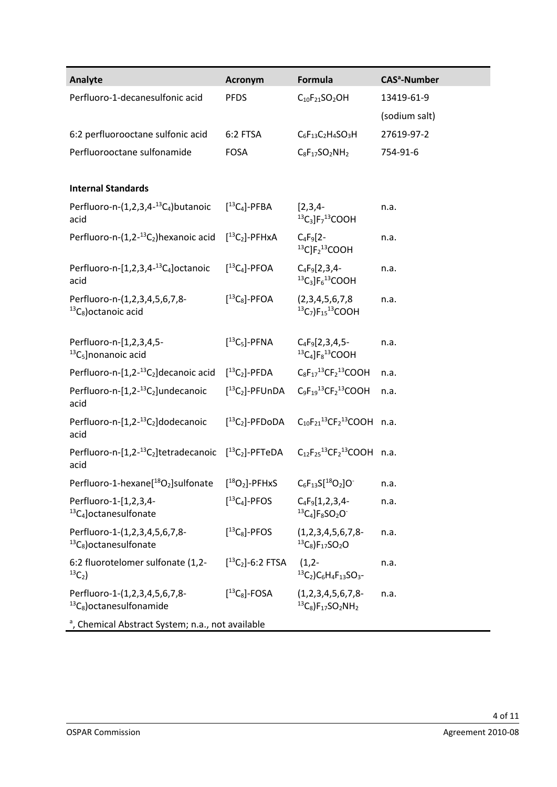| Analyte                                                                                                                                               | <b>Acronym</b>                              | Formula                                                                                  | <b>CAS<sup>a</sup>-Number</b> |  |  |  |
|-------------------------------------------------------------------------------------------------------------------------------------------------------|---------------------------------------------|------------------------------------------------------------------------------------------|-------------------------------|--|--|--|
| Perfluoro-1-decanesulfonic acid                                                                                                                       | <b>PFDS</b>                                 | $C_{10}F_{21}SO_2OH$                                                                     | 13419-61-9                    |  |  |  |
|                                                                                                                                                       |                                             |                                                                                          | (sodium salt)                 |  |  |  |
| 6:2 perfluorooctane sulfonic acid                                                                                                                     | 6:2 FTSA                                    | $C_6F_{13}C_2H_4SO_3H$                                                                   | 27619-97-2                    |  |  |  |
| Perfluorooctane sulfonamide                                                                                                                           | <b>FOSA</b>                                 | $C_8F_{17}SO_2NH_2$                                                                      | 754-91-6                      |  |  |  |
|                                                                                                                                                       |                                             |                                                                                          |                               |  |  |  |
| <b>Internal Standards</b>                                                                                                                             |                                             |                                                                                          |                               |  |  |  |
| Perfluoro-n- $(1,2,3,4^{-13}C_4)$ butanoic<br>acid                                                                                                    | $[^{13}C_4]$ -PFBA                          | $[2,3,4-$<br>${}^{13}C_3$ ]F <sub>7</sub> <sup>13</sup> COOH                             | n.a.                          |  |  |  |
| Perfluoro-n- $(1,2^{-13}C_2)$ hexanoic acid                                                                                                           | $[^{13}C_2]$ -PFHxA                         | $C_4F_9[2-$<br>$^{13}$ C]F <sub>2</sub> <sup>13</sup> COOH                               | n.a.                          |  |  |  |
| Perfluoro-n- $[1,2,3,4$ <sup>-13</sup> C <sub>4</sub> ] octanoic<br>acid                                                                              | $[^{13}C_4]$ -PFOA                          | $C_4F_9[2,3,4-$<br>${}^{13}C_3$ ]F <sub>6</sub> ${}^{13}$ COOH                           | n.a.                          |  |  |  |
| Perfluoro-n-(1,2,3,4,5,6,7,8-<br>${}^{13}C_8$ ) octanoic acid                                                                                         | $[^{13}C_8]$ -PFOA                          | (2,3,4,5,6,7,8)<br>${}^{13}C_7$ )F <sub>15</sub> <sup>13</sup> COOH                      | n.a.                          |  |  |  |
| Perfluoro-n-[1,2,3,4,5-<br>$^{13}C_5$ ]nonanoic acid                                                                                                  | $[^{13}C_5]$ -PFNA                          | $C_4F_9[2,3,4,5-$<br>${}^{13}C_4$ ]F <sub>8</sub> ${}^{13}$ COOH                         | n.a.                          |  |  |  |
| Perfluoro-n- $[1,2^{-13}C_2]$ decanoic acid                                                                                                           | $[^{13}C_2]$ -PFDA                          | $C_8F_{17}^{13}CF_2^{13}COOH$                                                            | n.a.                          |  |  |  |
| Perfluoro-n-[1,2- <sup>13</sup> C <sub>2</sub> ]undecanoic<br>acid                                                                                    | $[^{13}C_2]$ -PFUnDA                        | $C_9F_{19}^{13}CF_2^{13}COOH$                                                            | n.a.                          |  |  |  |
| Perfluoro-n- $[1,2$ - <sup>13</sup> C <sub>2</sub> ] dodecanoic<br>acid                                                                               | $[^{13}C_2]$ -PFDoDA                        | $C_{10}F_{21}^{13}CF_2^{13}COOH$ n.a.                                                    |                               |  |  |  |
| Perfluoro-n-[1,2- <sup>13</sup> C <sub>2</sub> ]tetradecanoic [ <sup>13</sup> C <sub>2</sub> ]-PFTeDA $C_{12}F_{25}^{13}CF_{2}^{13}COOH$ n.a.<br>acid |                                             |                                                                                          |                               |  |  |  |
| Perfluoro-1-hexane[ <sup>18</sup> O <sub>2</sub> ]sulfonate                                                                                           | $[^{18}O_2]$ -PFHxS $C_6F_{13}S[^{18}O_2]O$ |                                                                                          | n.a.                          |  |  |  |
| Perfluoro-1-[1,2,3,4-<br>$^{13}C_4$ octanesulfonate                                                                                                   | $[^{13}C_4]$ -PFOS                          | $C_4F_9[1,2,3,4-$<br>${}^{13}C_4$ ]F <sub>8</sub> SO <sub>2</sub> O <sup>-</sup>         | n.a.                          |  |  |  |
| Perfluoro-1-(1,2,3,4,5,6,7,8-<br>${}^{13}C_8$ ) octanesulfonate                                                                                       | $[^{13}C_8]$ -PFOS                          | (1,2,3,4,5,6,7,8<br>${}^{13}C_8$ )F <sub>17</sub> SO <sub>2</sub> O                      | n.a.                          |  |  |  |
| 6:2 fluorotelomer sulfonate (1,2-<br>$^{13}C_{2}$                                                                                                     | $[$ <sup>13</sup> C <sub>2</sub> ]-6:2 FTSA | $(1,2-$<br>${}^{13}C_2$ )C <sub>6</sub> H <sub>4</sub> F <sub>13</sub> SO <sub>3</sub> - | n.a.                          |  |  |  |
| Perfluoro-1-(1,2,3,4,5,6,7,8-<br>$^{13}C_8$ ) octanesulfonamide                                                                                       | $[^{13}C_8]$ -FOSA                          | $(1,2,3,4,5,6,7,8-$<br>${}^{13}C_8$ )F <sub>17</sub> SO <sub>2</sub> NH <sub>2</sub>     | n.a.                          |  |  |  |
| <sup>a</sup> , Chemical Abstract System; n.a., not available                                                                                          |                                             |                                                                                          |                               |  |  |  |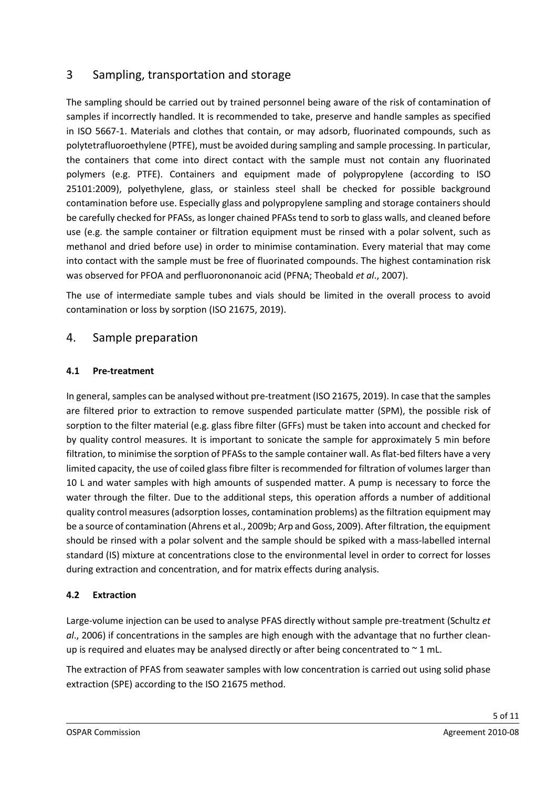## 3 Sampling, transportation and storage

The sampling should be carried out by trained personnel being aware of the risk of contamination of samples if incorrectly handled. It is recommended to take, preserve and handle samples as specified in ISO 5667-1. Materials and clothes that contain, or may adsorb, fluorinated compounds, such as polytetrafluoroethylene (PTFE), must be avoided during sampling and sample processing. In particular, the containers that come into direct contact with the sample must not contain any fluorinated polymers (e.g. PTFE). Containers and equipment made of polypropylene (according to ISO 25101:2009), polyethylene, glass, or stainless steel shall be checked for possible background contamination before use. Especially glass and polypropylene sampling and storage containers should be carefully checked for PFASs, as longer chained PFASs tend to sorb to glass walls, and cleaned before use (e.g. the sample container or filtration equipment must be rinsed with a polar solvent, such as methanol and dried before use) in order to minimise contamination. Every material that may come into contact with the sample must be free of fluorinated compounds. The highest contamination risk was observed for PFOA and perfluorononanoic acid (PFNA; Theobald *et al*., 2007).

The use of intermediate sample tubes and vials should be limited in the overall process to avoid contamination or loss by sorption (ISO 21675, 2019).

#### 4. Sample preparation

#### **4.1 Pre-treatment**

In general, samples can be analysed without pre-treatment (ISO 21675, 2019). In case that the samples are filtered prior to extraction to remove suspended particulate matter (SPM), the possible risk of sorption to the filter material (e.g. glass fibre filter (GFFs) must be taken into account and checked for by quality control measures. It is important to sonicate the sample for approximately 5 min before filtration, to minimise the sorption of PFASs to the sample container wall. As flat-bed filters have a very limited capacity, the use of coiled glass fibre filter is recommended for filtration of volumes larger than 10 L and water samples with high amounts of suspended matter. A pump is necessary to force the water through the filter. Due to the additional steps, this operation affords a number of additional quality control measures (adsorption losses, contamination problems) as the filtration equipment may be a source of contamination (Ahrens et al., 2009b; Arp and Goss, 2009). After filtration, the equipment should be rinsed with a polar solvent and the sample should be spiked with a mass-labelled internal standard (IS) mixture at concentrations close to the environmental level in order to correct for losses during extraction and concentration, and for matrix effects during analysis.

#### **4.2 Extraction**

Large-volume injection can be used to analyse PFAS directly without sample pre-treatment (Schultz *et al*., 2006) if concentrations in the samples are high enough with the advantage that no further cleanup is required and eluates may be analysed directly or after being concentrated to  $\sim$  1 mL.

The extraction of PFAS from seawater samples with low concentration is carried out using solid phase extraction (SPE) according to the ISO 21675 method.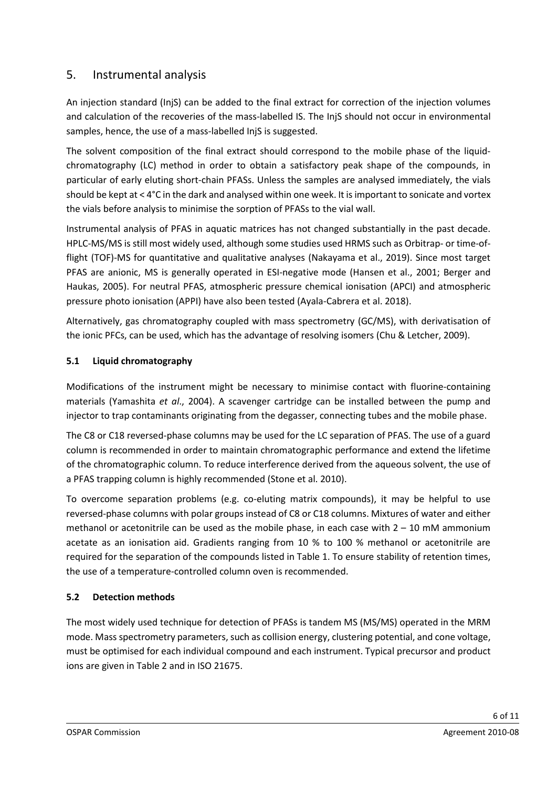## 5. Instrumental analysis

An injection standard (InjS) can be added to the final extract for correction of the injection volumes and calculation of the recoveries of the mass-labelled IS. The InjS should not occur in environmental samples, hence, the use of a mass-labelled InjS is suggested.

The solvent composition of the final extract should correspond to the mobile phase of the liquidchromatography (LC) method in order to obtain a satisfactory peak shape of the compounds, in particular of early eluting short-chain PFASs. Unless the samples are analysed immediately, the vials should be kept at < 4°C in the dark and analysed within one week. It is important to sonicate and vortex the vials before analysis to minimise the sorption of PFASs to the vial wall.

Instrumental analysis of PFAS in aquatic matrices has not changed substantially in the past decade. HPLC-MS/MS is still most widely used, although some studies used HRMS such as Orbitrap- or time-offlight (TOF)-MS for quantitative and qualitative analyses (Nakayama et al., 2019). Since most target PFAS are anionic, MS is generally operated in ESI-negative mode (Hansen et al., 2001; Berger and Haukas, 2005). For neutral PFAS, atmospheric pressure chemical ionisation (APCI) and atmospheric pressure photo ionisation (APPI) have also been tested (Ayala-Cabrera et al. 2018).

Alternatively, gas chromatography coupled with mass spectrometry (GC/MS), with derivatisation of the ionic PFCs, can be used, which has the advantage of resolving isomers (Chu & Letcher, 2009).

#### **5.1 Liquid chromatography**

Modifications of the instrument might be necessary to minimise contact with fluorine-containing materials (Yamashita *et al*., 2004). A scavenger cartridge can be installed between the pump and injector to trap contaminants originating from the degasser, connecting tubes and the mobile phase.

The C8 or C18 reversed-phase columns may be used for the LC separation of PFAS. The use of a guard column is recommended in order to maintain chromatographic performance and extend the lifetime of the chromatographic column. To reduce interference derived from the aqueous solvent, the use of a PFAS trapping column is highly recommended (Stone et al. 2010).

To overcome separation problems (e.g. co-eluting matrix compounds), it may be helpful to use reversed-phase columns with polar groups instead of C8 or C18 columns. Mixtures of water and either methanol or acetonitrile can be used as the mobile phase, in each case with  $2 - 10$  mM ammonium acetate as an ionisation aid. Gradients ranging from 10 % to 100 % methanol or acetonitrile are required for the separation of the compounds listed in Table 1. To ensure stability of retention times, the use of a temperature-controlled column oven is recommended.

#### **5.2 Detection methods**

The most widely used technique for detection of PFASs is tandem MS (MS/MS) operated in the MRM mode. Mass spectrometry parameters, such as collision energy, clustering potential, and cone voltage, must be optimised for each individual compound and each instrument. Typical precursor and product ions are given in Table 2 and in ISO 21675.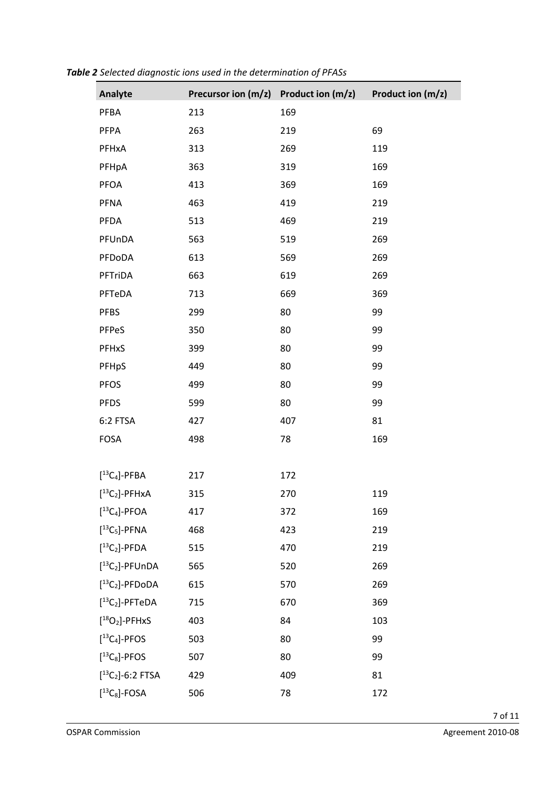| Analyte                                     | Precursor ion (m/z) | Product ion (m/z) | Product ion (m/z) |
|---------------------------------------------|---------------------|-------------------|-------------------|
| PFBA                                        | 213                 | 169               |                   |
| PFPA                                        | 263                 | 219               | 69                |
| PFHxA                                       | 313                 | 269               | 119               |
| PFHpA                                       | 363                 | 319               | 169               |
| <b>PFOA</b>                                 | 413                 | 369               | 169               |
| PFNA                                        | 463                 | 419               | 219               |
| PFDA                                        | 513                 | 469               | 219               |
| PFUnDA                                      | 563                 | 519               | 269               |
| PFDoDA                                      | 613                 | 569               | 269               |
| PFTriDA                                     | 663                 | 619               | 269               |
| PFTeDA                                      | 713                 | 669               | 369               |
| <b>PFBS</b>                                 | 299                 | 80                | 99                |
| PFPeS                                       | 350                 | 80                | 99                |
| PFHxS                                       | 399                 | 80                | 99                |
| PFHpS                                       | 449                 | 80                | 99                |
| <b>PFOS</b>                                 | 499                 | 80                | 99                |
| <b>PFDS</b>                                 | 599                 | 80                | 99                |
| 6:2 FTSA                                    | 427                 | 407               | 81                |
| <b>FOSA</b>                                 | 498                 | 78                | 169               |
|                                             |                     |                   |                   |
| $[^{13}C_4]$ -PFBA                          | 217                 | 172               |                   |
| $[^{13}C_2]$ -PFHxA                         | 315                 | 270               | 119               |
| $[^{13}C_4]$ -PFOA                          | 417                 | 372               | 169               |
| $[^{13}C_5]$ -PFNA                          | 468                 | 423               | 219               |
| $[^{13}C_2]$ -PFDA                          | 515                 | 470               | 219               |
| $[^{13}C_2]$ -PFUnDA                        | 565                 | 520               | 269               |
| $[^{13}C_2]$ -PFDoDA                        | 615                 | 570               | 269               |
| $[^{13}C_2]$ -PFTeDA                        | 715                 | 670               | 369               |
| $[^{18}O_2]$ -PFHxS                         | 403                 | 84                | 103               |
| $[^{13}C_4]$ -PFOS                          | 503                 | 80                | 99                |
| $[^{13}C_8]$ -PFOS                          | 507                 | 80                | 99                |
| $[$ <sup>13</sup> C <sub>2</sub> ]-6:2 FTSA | 429                 | 409               | 81                |
| $[^{13}C_8]$ -FOSA                          | 506                 | 78                | 172               |

*Table 2 Selected diagnostic ions used in the determination of PFASs*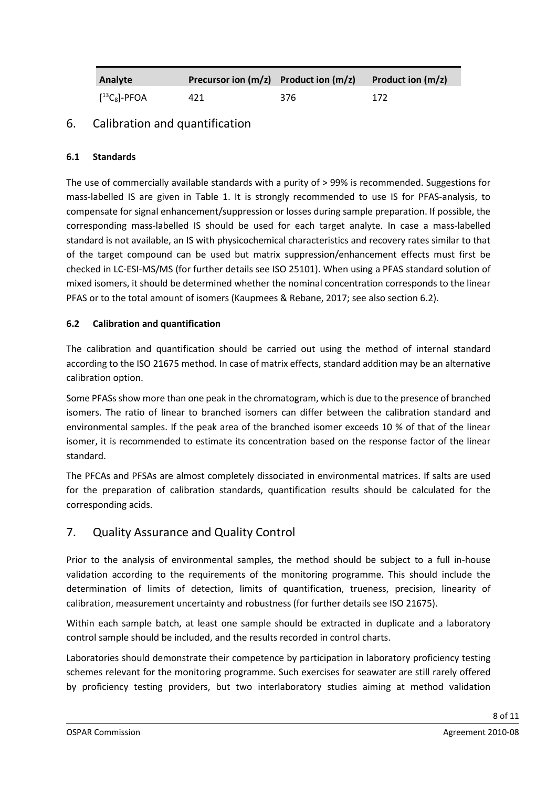| Analyte            | <b>Precursor ion <math>(m/z)</math></b> Product ion $(m/z)$ |     | Product ion $(m/z)$ |
|--------------------|-------------------------------------------------------------|-----|---------------------|
| $[^{13}C_8]$ -PFOA | 421                                                         | 376 | 172                 |

## 6. Calibration and quantification

#### **6.1 Standards**

The use of commercially available standards with a purity of > 99% is recommended. Suggestions for mass-labelled IS are given in Table 1. It is strongly recommended to use IS for PFAS-analysis, to compensate for signal enhancement/suppression or losses during sample preparation. If possible, the corresponding mass-labelled IS should be used for each target analyte. In case a mass-labelled standard is not available, an IS with physicochemical characteristics and recovery rates similar to that of the target compound can be used but matrix suppression/enhancement effects must first be checked in LC-ESI-MS/MS (for further details see ISO 25101). When using a PFAS standard solution of mixed isomers, it should be determined whether the nominal concentration corresponds to the linear PFAS or to the total amount of isomers (Kaupmees & Rebane, 2017; see also section 6.2).

#### **6.2 Calibration and quantification**

The calibration and quantification should be carried out using the method of internal standard according to the ISO 21675 method. In case of matrix effects, standard addition may be an alternative calibration option.

Some PFASs show more than one peak in the chromatogram, which is due to the presence of branched isomers. The ratio of linear to branched isomers can differ between the calibration standard and environmental samples. If the peak area of the branched isomer exceeds 10 % of that of the linear isomer, it is recommended to estimate its concentration based on the response factor of the linear standard.

The PFCAs and PFSAs are almost completely dissociated in environmental matrices. If salts are used for the preparation of calibration standards, quantification results should be calculated for the corresponding acids.

### 7. Quality Assurance and Quality Control

Prior to the analysis of environmental samples, the method should be subject to a full in-house validation according to the requirements of the monitoring programme. This should include the determination of limits of detection, limits of quantification, trueness, precision, linearity of calibration, measurement uncertainty and robustness (for further details see ISO 21675).

Within each sample batch, at least one sample should be extracted in duplicate and a laboratory control sample should be included, and the results recorded in control charts.

Laboratories should demonstrate their competence by participation in laboratory proficiency testing schemes relevant for the monitoring programme. Such exercises for seawater are still rarely offered by proficiency testing providers, but two interlaboratory studies aiming at method validation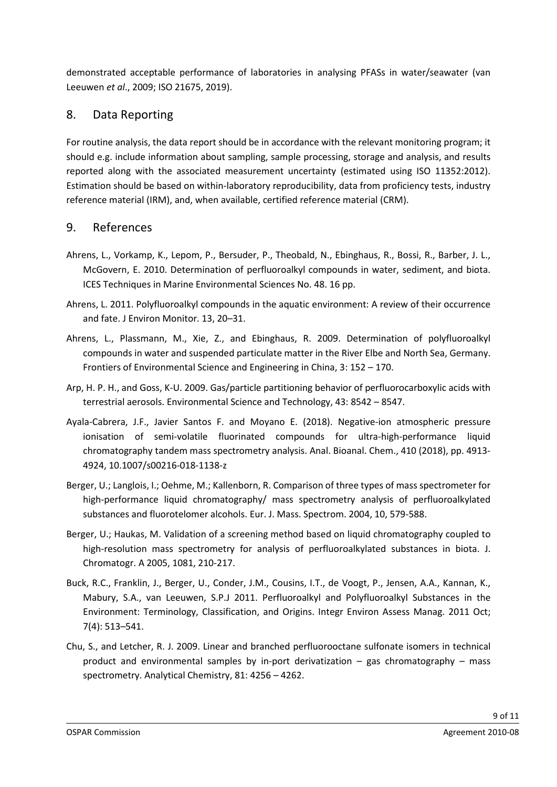demonstrated acceptable performance of laboratories in analysing PFASs in water/seawater (van Leeuwen *et al*., 2009; ISO 21675, 2019).

### 8. Data Reporting

For routine analysis, the data report should be in accordance with the relevant monitoring program; it should e.g. include information about sampling, sample processing, storage and analysis, and results reported along with the associated measurement uncertainty (estimated using ISO 11352:2012). Estimation should be based on within-laboratory reproducibility, data from proficiency tests, industry reference material (IRM), and, when available, certified reference material (CRM).

### 9. References

- Ahrens, L., Vorkamp, K., Lepom, P., Bersuder, P., Theobald, N., Ebinghaus, R., Bossi, R., Barber, J. L., McGovern, E. 2010. Determination of perfluoroalkyl compounds in water, sediment, and biota. ICES Techniques in Marine Environmental Sciences No. 48. 16 pp.
- Ahrens, L. 2011. Polyfluoroalkyl compounds in the aquatic environment: A review of their occurrence and fate. J Environ Monitor. 13, 20–31.
- Ahrens, L., Plassmann, M., Xie, Z., and Ebinghaus, R. 2009. Determination of polyfluoroalkyl compounds in water and suspended particulate matter in the River Elbe and North Sea, Germany. Frontiers of Environmental Science and Engineering in China, 3: 152 – 170.
- Arp, H. P. H., and Goss, K-U. 2009. Gas/particle partitioning behavior of perfluorocarboxylic acids with terrestrial aerosols. Environmental Science and Technology, 43: 8542 – 8547.
- Ayala-Cabrera, J.F., Javier Santos F. and Moyano E. (2018). [Negative-ion atmospheric pressure](https://doi.org/10.1007/s00216-018-1138-z)  [ionisation of semi-volatile fluorinated compounds for ultra-high-performance liquid](https://doi.org/10.1007/s00216-018-1138-z)  [chromatography tandem mass spectrometry analysis.](https://doi.org/10.1007/s00216-018-1138-z) Anal. Bioanal. Chem., 410 (2018), pp. 4913- 4924[, 10.1007/s00216-018-1138-z](https://doi.org/10.1007/s00216-018-1138-z)
- Berger, U.; Langlois, I.; Oehme, M.; Kallenborn, R. Comparison of three types of mass spectrometer for high-performance liquid chromatography/ mass spectrometry analysis of perfluoroalkylated substances and fluorotelomer alcohols. Eur. J. Mass. Spectrom. 2004, 10, 579-588.
- Berger, U.; Haukas, M. Validation of a screening method based on liquid chromatography coupled to high-resolution mass spectrometry for analysis of perfluoroalkylated substances in biota. J. Chromatogr. A 2005, 1081, 210-217.
- [Buck,](https://www.ncbi.nlm.nih.gov/pubmed/?term=Buck%20RC%5BAuthor%5D&cauthor=true&cauthor_uid=21793199) R.C., [Franklin,](https://www.ncbi.nlm.nih.gov/pubmed/?term=Franklin%20J%5BAuthor%5D&cauthor=true&cauthor_uid=21793199) J., [Berger,](https://www.ncbi.nlm.nih.gov/pubmed/?term=Berger%20U%5BAuthor%5D&cauthor=true&cauthor_uid=21793199) U., [Conder,](https://www.ncbi.nlm.nih.gov/pubmed/?term=Conder%20JM%5BAuthor%5D&cauthor=true&cauthor_uid=21793199) J.M., [Cousins,](https://www.ncbi.nlm.nih.gov/pubmed/?term=Cousins%20IT%5BAuthor%5D&cauthor=true&cauthor_uid=21793199) I.T., [de Voogt,](https://www.ncbi.nlm.nih.gov/pubmed/?term=de%20Voogt%20P%5BAuthor%5D&cauthor=true&cauthor_uid=21793199) P., [Jensen,](https://www.ncbi.nlm.nih.gov/pubmed/?term=Jensen%20AA%5BAuthor%5D&cauthor=true&cauthor_uid=21793199) A.A., [Kannan,](https://www.ncbi.nlm.nih.gov/pubmed/?term=Kannan%20K%5BAuthor%5D&cauthor=true&cauthor_uid=21793199) K., [Mabury,](https://www.ncbi.nlm.nih.gov/pubmed/?term=Mabury%20SA%5BAuthor%5D&cauthor=true&cauthor_uid=21793199) S.A., [van Leeuwen,](https://www.ncbi.nlm.nih.gov/pubmed/?term=van%20Leeuwen%20SP%5BAuthor%5D&cauthor=true&cauthor_uid=21793199) S.P.J 2011. Perfluoroalkyl and Polyfluoroalkyl Substances in the Environment: Terminology, Classification, and Origins. [Integr Environ Assess Manag.](https://www.ncbi.nlm.nih.gov/pmc/articles/PMC3214619/) 2011 Oct; 7(4): 513–541.
- Chu, S., and Letcher, R. J. 2009. Linear and branched perfluorooctane sulfonate isomers in technical product and environmental samples by in-port derivatization – gas chromatography – mass spectrometry. Analytical Chemistry, 81: 4256 – 4262.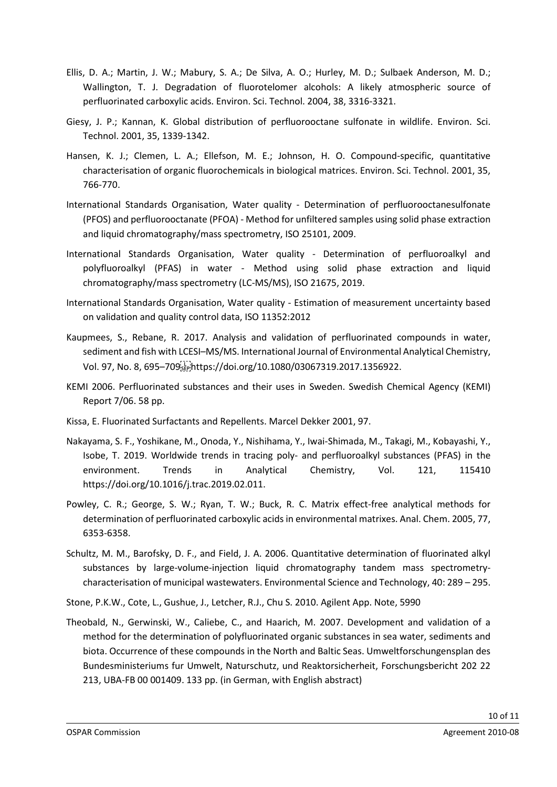- Ellis, D. A.; Martin, J. W.; Mabury, S. A.; De Silva, A. O.; Hurley, M. D.; Sulbaek Anderson, M. D.; Wallington, T. J. Degradation of fluorotelomer alcohols: A likely atmospheric source of perfluorinated carboxylic acids. Environ. Sci. Technol. 2004, 38, 3316-3321.
- Giesy, J. P.; Kannan, K. Global distribution of perfluorooctane sulfonate in wildlife. Environ. Sci. Technol. 2001, 35, 1339-1342.
- Hansen, K. J.; Clemen, L. A.; Ellefson, M. E.; Johnson, H. O. Compound-specific, quantitative characterisation of organic fluorochemicals in biological matrices. Environ. Sci. Technol. 2001, 35, 766-770.
- International Standards Organisation, Water quality Determination of perfluorooctanesulfonate (PFOS) and perfluorooctanate (PFOA) - Method for unfiltered samples using solid phase extraction and liquid chromatography/mass spectrometry, ISO 25101, 2009.
- International Standards Organisation, Water quality Determination of perfluoroalkyl and polyfluoroalkyl (PFAS) in water - Method using solid phase extraction and liquid chromatography/mass spectrometry (LC-MS/MS), ISO 21675, 2019.
- International Standards Organisation, Water quality Estimation of measurement uncertainty based on validation and quality control data, ISO 11352:2012
- Kaupmees, S., Rebane, R. 2017. Analysis and validation of perfluorinated compounds in water, sediment and fish with LCESI–MS/MS. International Journal of Environmental Analytical Chemistry, Vol. 97, No. 8, 695-709 Ephttps://doi.org/10.1080/03067319.2017.1356922.
- KEMI 2006. Perfluorinated substances and their uses in Sweden. Swedish Chemical Agency (KEMI) Report 7/06. 58 pp.
- Kissa, E. Fluorinated Surfactants and Repellents. Marcel Dekker 2001, 97.
- Nakayama, S. F., Yoshikane, M., Onoda, Y., Nishihama, Y., Iwai-Shimada, M., Takagi, M., Kobayashi, Y., Isobe, T. 2019. Worldwide trends in tracing poly- and perfluoroalkyl substances (PFAS) in the environment. Trends in Analytical Chemistry, Vol. 121, 115410 https://doi.org/10.1016/j.trac.2019.02.011.
- Powley, C. R.; George, S. W.; Ryan, T. W.; Buck, R. C. Matrix effect-free analytical methods for determination of perfluorinated carboxylic acids in environmental matrixes. Anal. Chem. 2005, 77, 6353-6358.
- Schultz, M. M., Barofsky, D. F., and Field, J. A. 2006. Quantitative determination of fluorinated alkyl substances by large-volume-injection liquid chromatography tandem mass spectrometrycharacterisation of municipal wastewaters. Environmental Science and Technology, 40: 289 – 295.
- Stone, P.K.W., Cote, L., Gushue, J., Letcher, R.J., Chu S. 2010. Agilent App. Note, 5990
- Theobald, N., Gerwinski, W., Caliebe, C., and Haarich, M. 2007. Development and validation of a method for the determination of polyfluorinated organic substances in sea water, sediments and biota. Occurrence of these compounds in the North and Baltic Seas. Umweltforschungensplan des Bundesministeriums fur Umwelt, Naturschutz, und Reaktorsicherheit, Forschungsbericht 202 22 213, UBA-FB 00 001409. 133 pp. (in German, with English abstract)